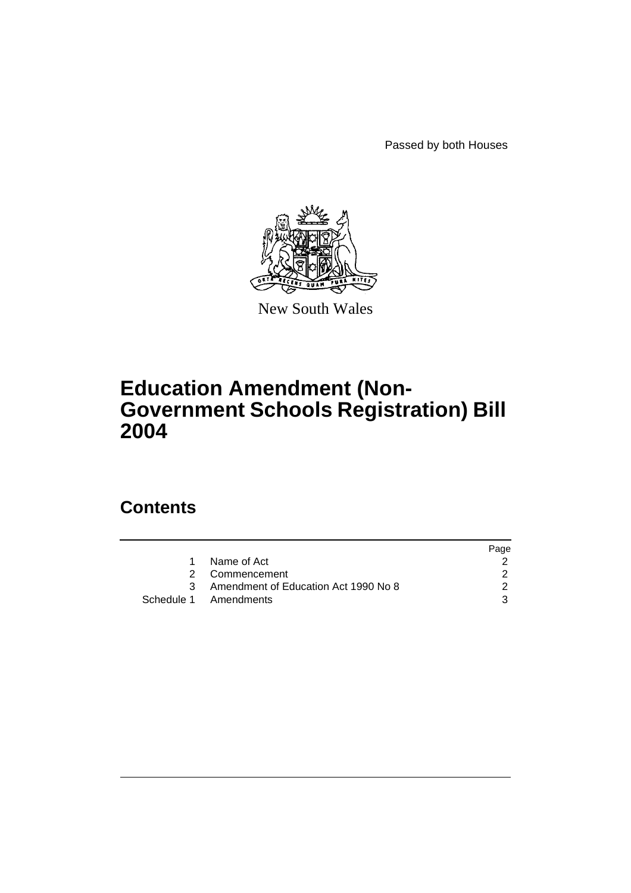Passed by both Houses



New South Wales

# **Education Amendment (Non-Government Schools Registration) Bill 2004**

# **Contents**

|     |                                      | Page |
|-----|--------------------------------------|------|
|     | Name of Act                          |      |
|     | 2 Commencement                       |      |
| ़ २ | Amendment of Education Act 1990 No 8 |      |
|     | Schedule 1 Amendments                | 3    |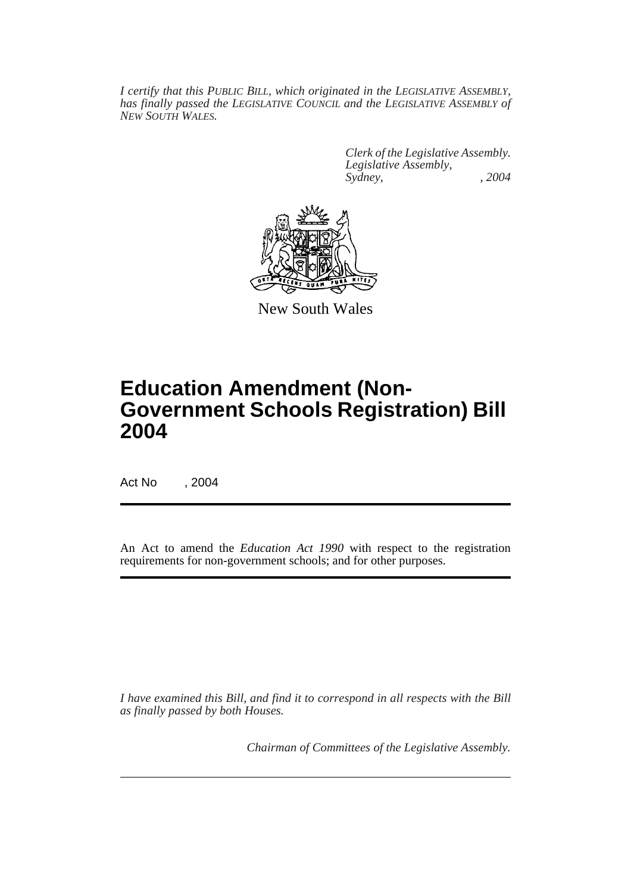*I certify that this PUBLIC BILL, which originated in the LEGISLATIVE ASSEMBLY, has finally passed the LEGISLATIVE COUNCIL and the LEGISLATIVE ASSEMBLY of NEW SOUTH WALES.*

> *Clerk of the Legislative Assembly. Legislative Assembly, Sydney, , 2004*



New South Wales

# **Education Amendment (Non-Government Schools Registration) Bill 2004**

Act No , 2004

An Act to amend the *Education Act 1990* with respect to the registration requirements for non-government schools; and for other purposes.

*I have examined this Bill, and find it to correspond in all respects with the Bill as finally passed by both Houses.*

*Chairman of Committees of the Legislative Assembly.*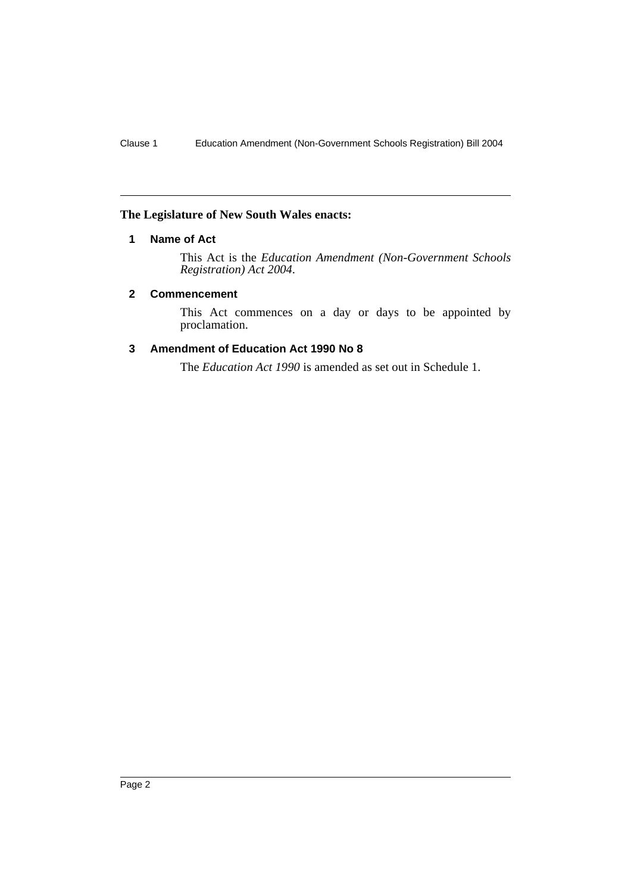# **The Legislature of New South Wales enacts:**

# **1 Name of Act**

This Act is the *Education Amendment (Non-Government Schools Registration) Act 2004*.

#### **2 Commencement**

This Act commences on a day or days to be appointed by proclamation.

# **3 Amendment of Education Act 1990 No 8**

The *Education Act 1990* is amended as set out in Schedule 1.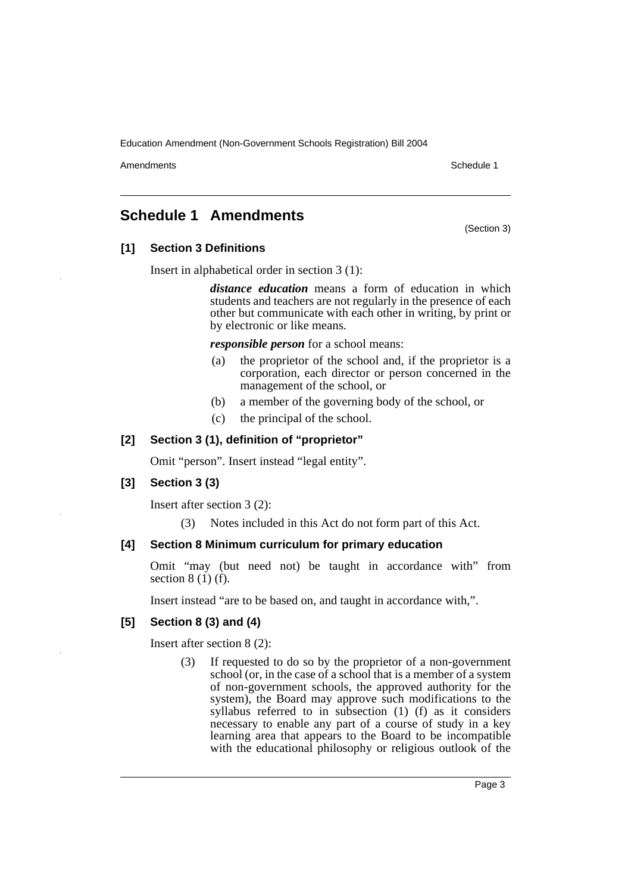Amendments **Amendments** Schedule 1

(Section 3)

# **Schedule 1 Amendments**

**[1] Section 3 Definitions**

Insert in alphabetical order in section 3 (1):

*distance education* means a form of education in which students and teachers are not regularly in the presence of each other but communicate with each other in writing, by print or by electronic or like means.

*responsible person* for a school means:

- (a) the proprietor of the school and, if the proprietor is a corporation, each director or person concerned in the management of the school, or
- (b) a member of the governing body of the school, or
- (c) the principal of the school.

## **[2] Section 3 (1), definition of "proprietor"**

Omit "person". Insert instead "legal entity".

#### **[3] Section 3 (3)**

Insert after section 3 (2):

(3) Notes included in this Act do not form part of this Act.

# **[4] Section 8 Minimum curriculum for primary education**

Omit "may (but need not) be taught in accordance with" from section  $8(1)(f)$ .

Insert instead "are to be based on, and taught in accordance with,".

# **[5] Section 8 (3) and (4)**

Insert after section 8 (2):

(3) If requested to do so by the proprietor of a non-government school (or, in the case of a school that is a member of a system of non-government schools, the approved authority for the system), the Board may approve such modifications to the syllabus referred to in subsection (1) (f) as it considers necessary to enable any part of a course of study in a key learning area that appears to the Board to be incompatible with the educational philosophy or religious outlook of the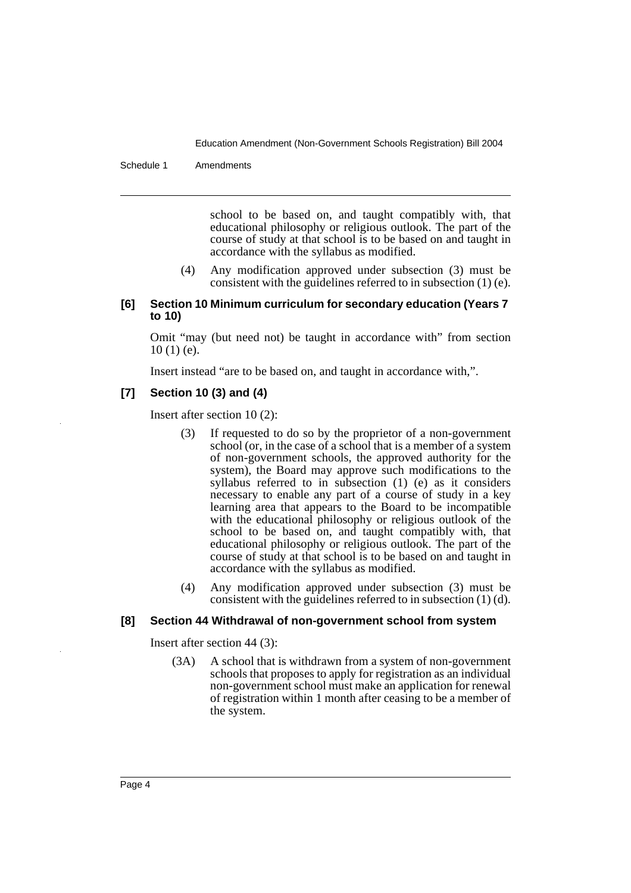Schedule 1 Amendments

school to be based on, and taught compatibly with, that educational philosophy or religious outlook. The part of the course of study at that school is to be based on and taught in accordance with the syllabus as modified.

(4) Any modification approved under subsection (3) must be consistent with the guidelines referred to in subsection (1) (e).

#### **[6] Section 10 Minimum curriculum for secondary education (Years 7 to 10)**

Omit "may (but need not) be taught in accordance with" from section  $10(1)$  (e).

Insert instead "are to be based on, and taught in accordance with,".

# **[7] Section 10 (3) and (4)**

Insert after section 10 (2):

- (3) If requested to do so by the proprietor of a non-government school (or, in the case of a school that is a member of a system of non-government schools, the approved authority for the system), the Board may approve such modifications to the syllabus referred to in subsection (1) (e) as it considers necessary to enable any part of a course of study in a key learning area that appears to the Board to be incompatible with the educational philosophy or religious outlook of the school to be based on, and taught compatibly with, that educational philosophy or religious outlook. The part of the course of study at that school is to be based on and taught in accordance with the syllabus as modified.
- (4) Any modification approved under subsection (3) must be consistent with the guidelines referred to in subsection (1) (d).

#### **[8] Section 44 Withdrawal of non-government school from system**

Insert after section 44 (3):

(3A) A school that is withdrawn from a system of non-government schools that proposes to apply for registration as an individual non-government school must make an application for renewal of registration within 1 month after ceasing to be a member of the system.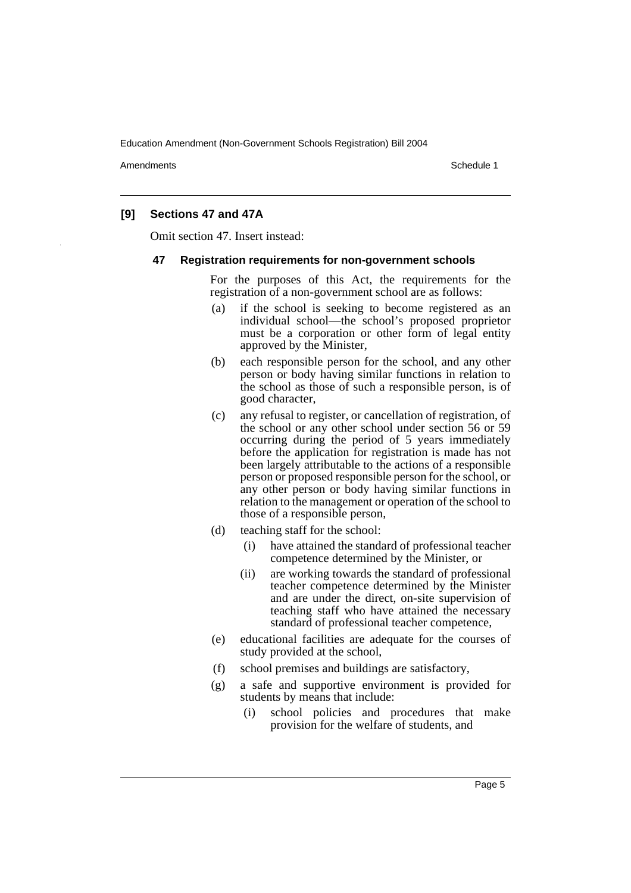Amendments **Amendments** Schedule 1

## **[9] Sections 47 and 47A**

Omit section 47. Insert instead:

#### **47 Registration requirements for non-government schools**

For the purposes of this Act, the requirements for the registration of a non-government school are as follows:

- (a) if the school is seeking to become registered as an individual school—the school's proposed proprietor must be a corporation or other form of legal entity approved by the Minister,
- (b) each responsible person for the school, and any other person or body having similar functions in relation to the school as those of such a responsible person, is of good character,
- (c) any refusal to register, or cancellation of registration, of the school or any other school under section 56 or 59 occurring during the period of 5 years immediately before the application for registration is made has not been largely attributable to the actions of a responsible person or proposed responsible person for the school, or any other person or body having similar functions in relation to the management or operation of the school to those of a responsible person,
- (d) teaching staff for the school:
	- (i) have attained the standard of professional teacher competence determined by the Minister, or
	- (ii) are working towards the standard of professional teacher competence determined by the Minister and are under the direct, on-site supervision of teaching staff who have attained the necessary standard of professional teacher competence,
- (e) educational facilities are adequate for the courses of study provided at the school,
- (f) school premises and buildings are satisfactory,
- (g) a safe and supportive environment is provided for students by means that include:
	- (i) school policies and procedures that make provision for the welfare of students, and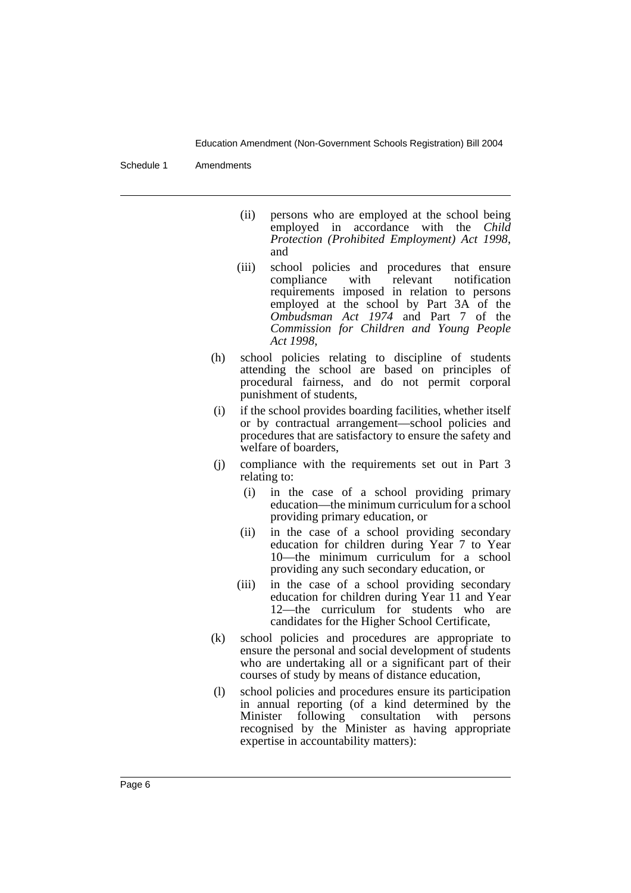Schedule 1 Amendments

- (ii) persons who are employed at the school being employed in accordance with the *Child Protection (Prohibited Employment) Act 1998*, and
- (iii) school policies and procedures that ensure compliance with relevant notification requirements imposed in relation to persons employed at the school by Part 3A of the *Ombudsman Act 1974* and Part 7 of the *Commission for Children and Young People Act 1998*,
- (h) school policies relating to discipline of students attending the school are based on principles of procedural fairness, and do not permit corporal punishment of students,
- (i) if the school provides boarding facilities, whether itself or by contractual arrangement—school policies and procedures that are satisfactory to ensure the safety and welfare of boarders,
- (j) compliance with the requirements set out in Part 3 relating to:
	- (i) in the case of a school providing primary education—the minimum curriculum for a school providing primary education, or
	- (ii) in the case of a school providing secondary education for children during Year 7 to Year 10—the minimum curriculum for a school providing any such secondary education, or
	- (iii) in the case of a school providing secondary education for children during Year 11 and Year 12—the curriculum for students who are candidates for the Higher School Certificate,
- (k) school policies and procedures are appropriate to ensure the personal and social development of students who are undertaking all or a significant part of their courses of study by means of distance education,
- (l) school policies and procedures ensure its participation in annual reporting (of a kind determined by the Minister following consultation with persons recognised by the Minister as having appropriate expertise in accountability matters):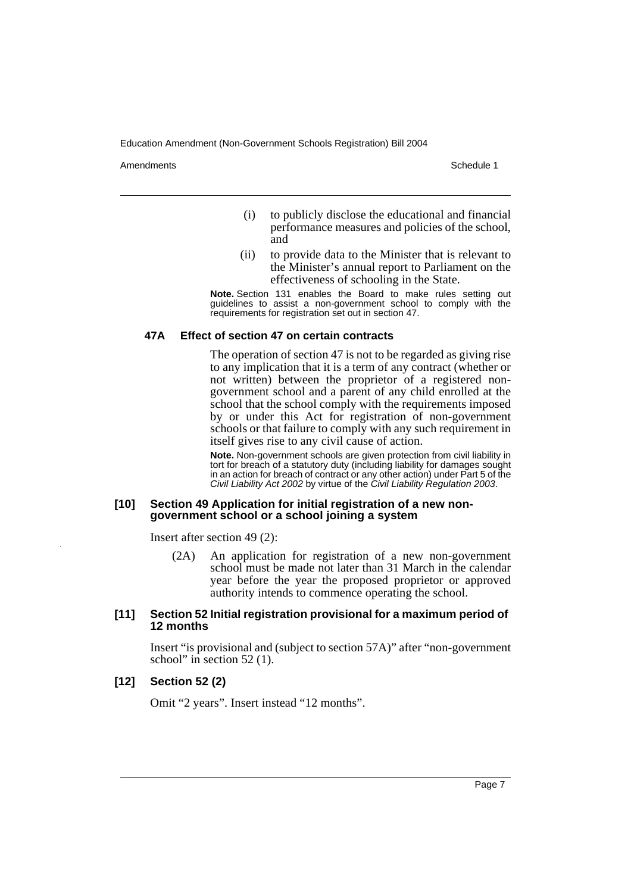Amendments **Amendments** Schedule 1

- (i) to publicly disclose the educational and financial performance measures and policies of the school, and
- (ii) to provide data to the Minister that is relevant to the Minister's annual report to Parliament on the effectiveness of schooling in the State.

**Note.** Section 131 enables the Board to make rules setting out guidelines to assist a non-government school to comply with the requirements for registration set out in section 47.

#### **47A Effect of section 47 on certain contracts**

The operation of section 47 is not to be regarded as giving rise to any implication that it is a term of any contract (whether or not written) between the proprietor of a registered nongovernment school and a parent of any child enrolled at the school that the school comply with the requirements imposed by or under this Act for registration of non-government schools or that failure to comply with any such requirement in itself gives rise to any civil cause of action.

**Note.** Non-government schools are given protection from civil liability in tort for breach of a statutory duty (including liability for damages sought in an action for breach of contract or any other action) under Part 5 of the Civil Liability Act 2002 by virtue of the Civil Liability Regulation 2003.

#### **[10] Section 49 Application for initial registration of a new nongovernment school or a school joining a system**

Insert after section 49 (2):

(2A) An application for registration of a new non-government school must be made not later than 31 March in the calendar year before the year the proposed proprietor or approved authority intends to commence operating the school.

#### **[11] Section 52 Initial registration provisional for a maximum period of 12 months**

Insert "is provisional and (subject to section 57A)" after "non-government school" in section 52 (1).

#### **[12] Section 52 (2)**

Omit "2 years". Insert instead "12 months".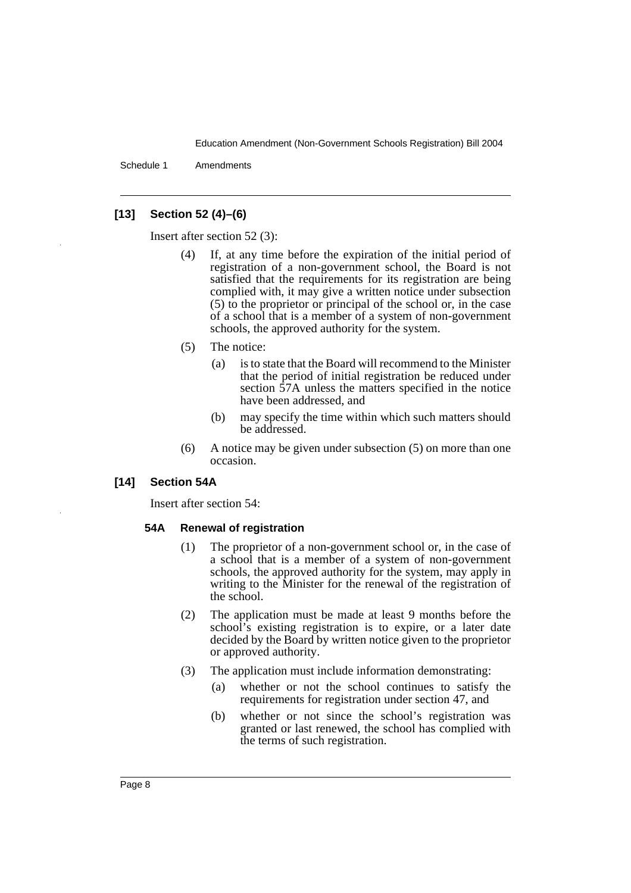Schedule 1 Amendments

# **[13] Section 52 (4)–(6)**

Insert after section 52 (3):

- (4) If, at any time before the expiration of the initial period of registration of a non-government school, the Board is not satisfied that the requirements for its registration are being complied with, it may give a written notice under subsection (5) to the proprietor or principal of the school or, in the case of a school that is a member of a system of non-government schools, the approved authority for the system.
- (5) The notice:
	- (a) is to state that the Board will recommend to the Minister that the period of initial registration be reduced under section 57A unless the matters specified in the notice have been addressed, and
	- (b) may specify the time within which such matters should be addressed.
- (6) A notice may be given under subsection (5) on more than one occasion.

#### **[14] Section 54A**

Insert after section 54:

#### **54A Renewal of registration**

- (1) The proprietor of a non-government school or, in the case of a school that is a member of a system of non-government schools, the approved authority for the system, may apply in writing to the Minister for the renewal of the registration of the school.
- (2) The application must be made at least 9 months before the school's existing registration is to expire, or a later date decided by the Board by written notice given to the proprietor or approved authority.
- (3) The application must include information demonstrating:
	- (a) whether or not the school continues to satisfy the requirements for registration under section 47, and
	- (b) whether or not since the school's registration was granted or last renewed, the school has complied with the terms of such registration.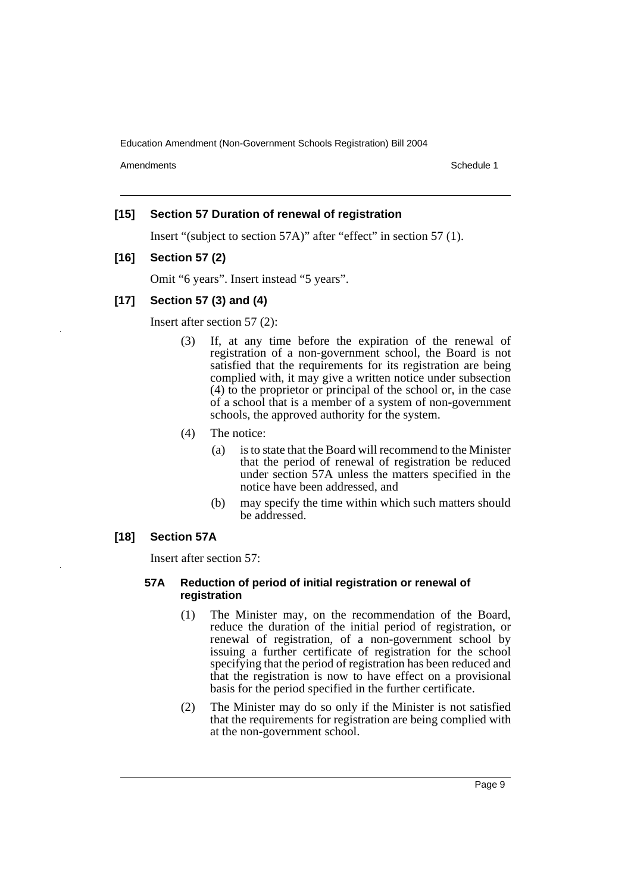Amendments **Amendments** Schedule 1

## **[15] Section 57 Duration of renewal of registration**

Insert "(subject to section 57A)" after "effect" in section 57 (1).

#### **[16] Section 57 (2)**

Omit "6 years". Insert instead "5 years".

## **[17] Section 57 (3) and (4)**

Insert after section 57 (2):

- (3) If, at any time before the expiration of the renewal of registration of a non-government school, the Board is not satisfied that the requirements for its registration are being complied with, it may give a written notice under subsection (4) to the proprietor or principal of the school or, in the case of a school that is a member of a system of non-government schools, the approved authority for the system.
- (4) The notice:
	- (a) is to state that the Board will recommend to the Minister that the period of renewal of registration be reduced under section 57A unless the matters specified in the notice have been addressed, and
	- (b) may specify the time within which such matters should be addressed.

# **[18] Section 57A**

Insert after section 57:

#### **57A Reduction of period of initial registration or renewal of registration**

- (1) The Minister may, on the recommendation of the Board, reduce the duration of the initial period of registration, or renewal of registration, of a non-government school by issuing a further certificate of registration for the school specifying that the period of registration has been reduced and that the registration is now to have effect on a provisional basis for the period specified in the further certificate.
- (2) The Minister may do so only if the Minister is not satisfied that the requirements for registration are being complied with at the non-government school.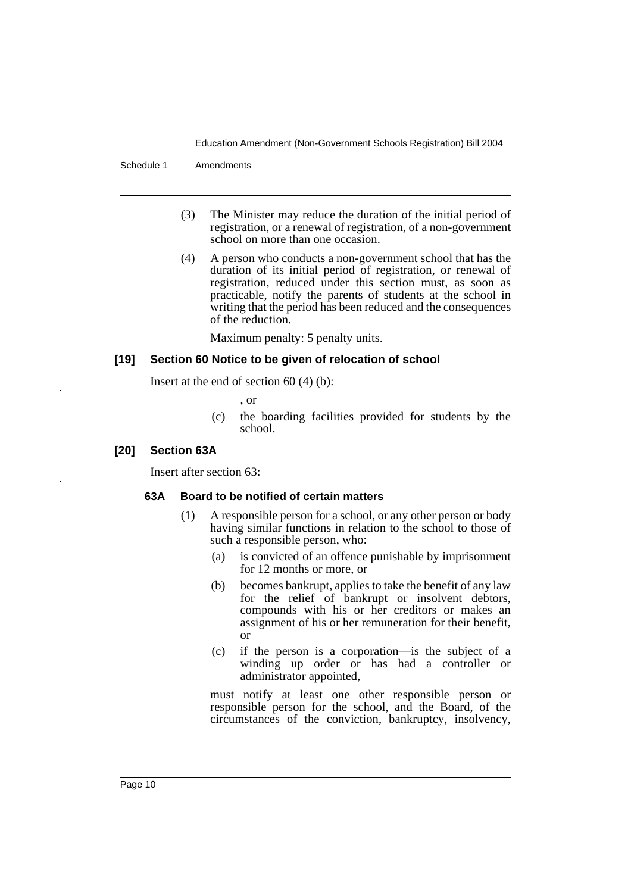Schedule 1 Amendments

- (3) The Minister may reduce the duration of the initial period of registration, or a renewal of registration, of a non-government school on more than one occasion.
- (4) A person who conducts a non-government school that has the duration of its initial period of registration, or renewal of registration, reduced under this section must, as soon as practicable, notify the parents of students at the school in writing that the period has been reduced and the consequences of the reduction.

Maximum penalty: 5 penalty units.

#### **[19] Section 60 Notice to be given of relocation of school**

Insert at the end of section 60 (4) (b):

, or

(c) the boarding facilities provided for students by the school.

#### **[20] Section 63A**

Insert after section 63:

#### **63A Board to be notified of certain matters**

- (1) A responsible person for a school, or any other person or body having similar functions in relation to the school to those of such a responsible person, who:
	- (a) is convicted of an offence punishable by imprisonment for 12 months or more, or
	- (b) becomes bankrupt, applies to take the benefit of any law for the relief of bankrupt or insolvent debtors, compounds with his or her creditors or makes an assignment of his or her remuneration for their benefit, or
	- (c) if the person is a corporation—is the subject of a winding up order or has had a controller or administrator appointed,

must notify at least one other responsible person or responsible person for the school, and the Board, of the circumstances of the conviction, bankruptcy, insolvency,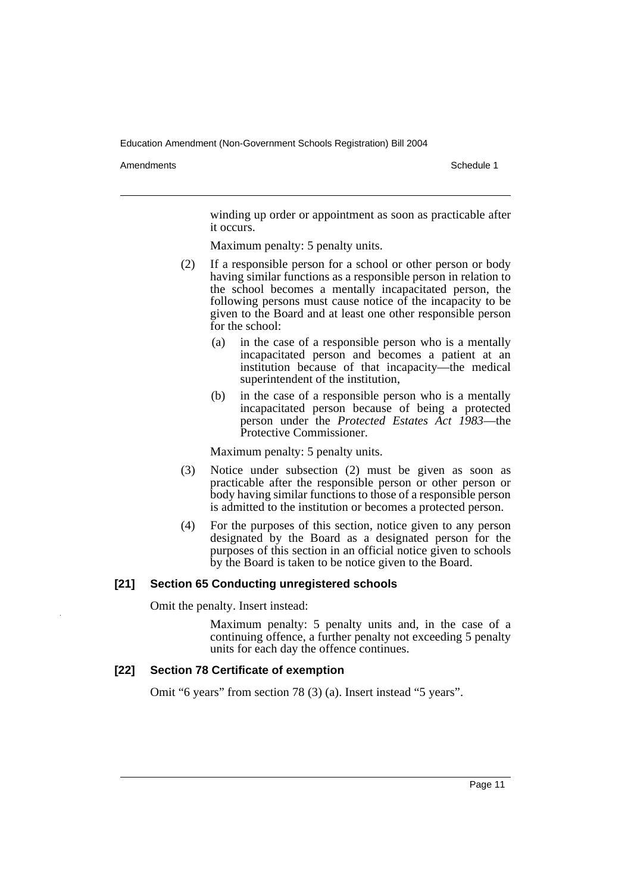Amendments **Amendments** Schedule 1

winding up order or appointment as soon as practicable after it occurs.

Maximum penalty: 5 penalty units.

- (2) If a responsible person for a school or other person or body having similar functions as a responsible person in relation to the school becomes a mentally incapacitated person, the following persons must cause notice of the incapacity to be given to the Board and at least one other responsible person for the school:
	- (a) in the case of a responsible person who is a mentally incapacitated person and becomes a patient at an institution because of that incapacity—the medical superintendent of the institution,
	- (b) in the case of a responsible person who is a mentally incapacitated person because of being a protected person under the *Protected Estates Act 1983*—the Protective Commissioner.

Maximum penalty: 5 penalty units.

- (3) Notice under subsection (2) must be given as soon as practicable after the responsible person or other person or body having similar functions to those of a responsible person is admitted to the institution or becomes a protected person.
- (4) For the purposes of this section, notice given to any person designated by the Board as a designated person for the purposes of this section in an official notice given to schools by the Board is taken to be notice given to the Board.

#### **[21] Section 65 Conducting unregistered schools**

Omit the penalty. Insert instead:

Maximum penalty: 5 penalty units and, in the case of a continuing offence, a further penalty not exceeding 5 penalty units for each day the offence continues.

### **[22] Section 78 Certificate of exemption**

Omit "6 years" from section 78 (3) (a). Insert instead "5 years".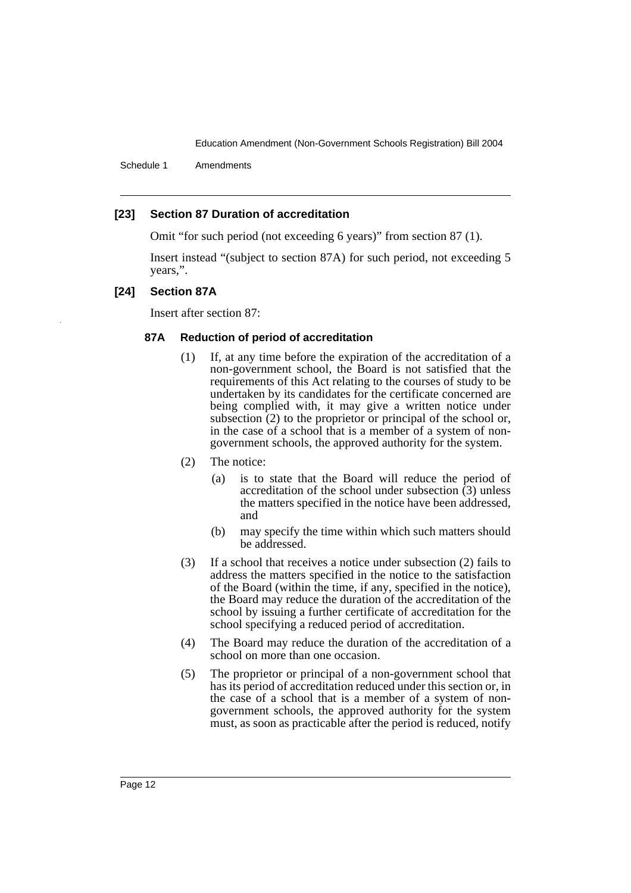Schedule 1 Amendments

#### **[23] Section 87 Duration of accreditation**

Omit "for such period (not exceeding 6 years)" from section 87 (1).

Insert instead "(subject to section 87A) for such period, not exceeding 5 years,".

#### **[24] Section 87A**

Insert after section 87:

#### **87A Reduction of period of accreditation**

- (1) If, at any time before the expiration of the accreditation of a non-government school, the Board is not satisfied that the requirements of this Act relating to the courses of study to be undertaken by its candidates for the certificate concerned are being complied with, it may give a written notice under subsection  $(2)$  to the proprietor or principal of the school or, in the case of a school that is a member of a system of nongovernment schools, the approved authority for the system.
- (2) The notice:
	- (a) is to state that the Board will reduce the period of accreditation of the school under subsection (3) unless the matters specified in the notice have been addressed, and
	- (b) may specify the time within which such matters should be addressed.
- (3) If a school that receives a notice under subsection (2) fails to address the matters specified in the notice to the satisfaction of the Board (within the time, if any, specified in the notice), the Board may reduce the duration of the accreditation of the school by issuing a further certificate of accreditation for the school specifying a reduced period of accreditation.
- (4) The Board may reduce the duration of the accreditation of a school on more than one occasion.
- (5) The proprietor or principal of a non-government school that has its period of accreditation reduced under this section or, in the case of a school that is a member of a system of nongovernment schools, the approved authority for the system must, as soon as practicable after the period is reduced, notify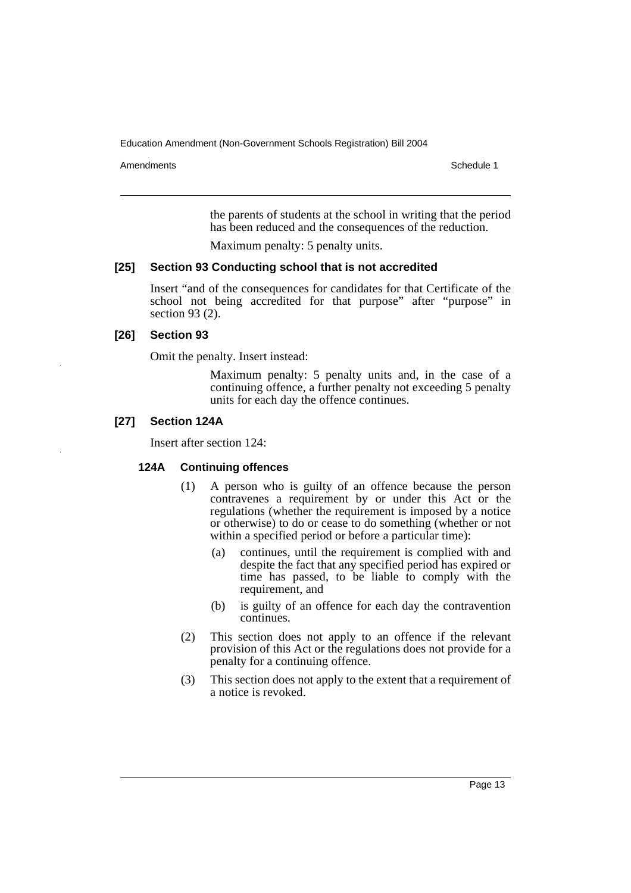Amendments **Amendments** Schedule 1

the parents of students at the school in writing that the period has been reduced and the consequences of the reduction.

Maximum penalty: 5 penalty units.

#### **[25] Section 93 Conducting school that is not accredited**

Insert "and of the consequences for candidates for that Certificate of the school not being accredited for that purpose" after "purpose" in section 93 (2).

#### **[26] Section 93**

Omit the penalty. Insert instead:

Maximum penalty: 5 penalty units and, in the case of a continuing offence, a further penalty not exceeding 5 penalty units for each day the offence continues.

# **[27] Section 124A**

Insert after section 124:

#### **124A Continuing offences**

- (1) A person who is guilty of an offence because the person contravenes a requirement by or under this Act or the regulations (whether the requirement is imposed by a notice or otherwise) to do or cease to do something (whether or not within a specified period or before a particular time):
	- (a) continues, until the requirement is complied with and despite the fact that any specified period has expired or time has passed, to be liable to comply with the requirement, and
	- (b) is guilty of an offence for each day the contravention continues.
- (2) This section does not apply to an offence if the relevant provision of this Act or the regulations does not provide for a penalty for a continuing offence.
- (3) This section does not apply to the extent that a requirement of a notice is revoked.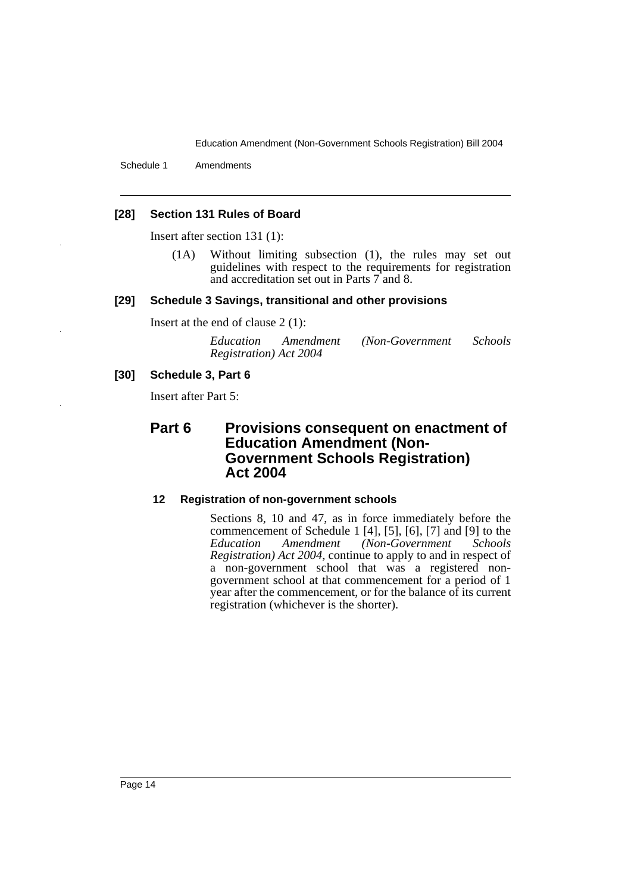Schedule 1 Amendments

#### **[28] Section 131 Rules of Board**

Insert after section 131 (1):

(1A) Without limiting subsection (1), the rules may set out guidelines with respect to the requirements for registration and accreditation set out in Parts 7 and 8.

#### **[29] Schedule 3 Savings, transitional and other provisions**

Insert at the end of clause 2 (1):

| Education              | Amendment | (Non-Government) | <i>Schools</i> |
|------------------------|-----------|------------------|----------------|
| Registration) Act 2004 |           |                  |                |

#### **[30] Schedule 3, Part 6**

Insert after Part 5:

# **Part 6 Provisions consequent on enactment of Education Amendment (Non-Government Schools Registration) Act 2004**

#### **12 Registration of non-government schools**

Sections 8, 10 and 47, as in force immediately before the commencement of Schedule 1 [4], [5], [6], [7] and [9] to the *Education Amendment (Non-Government Schools Registration) Act 2004*, continue to apply to and in respect of a non-government school that was a registered nongovernment school at that commencement for a period of 1 year after the commencement, or for the balance of its current registration (whichever is the shorter).